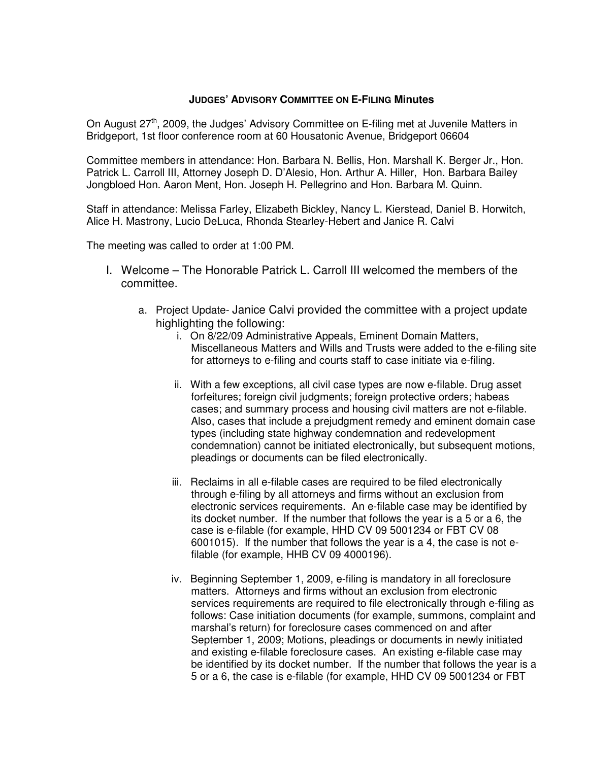## **JUDGES' ADVISORY COMMITTEE ON E-FILING Minutes**

On August 27<sup>th</sup>, 2009, the Judges' Advisory Committee on E-filing met at Juvenile Matters in Bridgeport, 1st floor conference room at 60 Housatonic Avenue, Bridgeport 06604

Committee members in attendance: Hon. Barbara N. Bellis, Hon. Marshall K. Berger Jr., Hon. Patrick L. Carroll III, Attorney Joseph D. D'Alesio, Hon. Arthur A. Hiller, Hon. Barbara Bailey Jongbloed Hon. Aaron Ment, Hon. Joseph H. Pellegrino and Hon. Barbara M. Quinn.

Staff in attendance: Melissa Farley, Elizabeth Bickley, Nancy L. Kierstead, Daniel B. Horwitch, Alice H. Mastrony, Lucio DeLuca, Rhonda Stearley-Hebert and Janice R. Calvi

The meeting was called to order at 1:00 PM.

- I. Welcome The Honorable Patrick L. Carroll III welcomed the members of the committee.
	- a. Project Update- Janice Calvi provided the committee with a project update highlighting the following:
		- i. On 8/22/09 Administrative Appeals, Eminent Domain Matters, Miscellaneous Matters and Wills and Trusts were added to the e-filing site for attorneys to e-filing and courts staff to case initiate via e-filing.
		- ii. With a few exceptions, all civil case types are now e-filable. Drug asset forfeitures; foreign civil judgments; foreign protective orders; habeas cases; and summary process and housing civil matters are not e-filable. Also, cases that include a prejudgment remedy and eminent domain case types (including state highway condemnation and redevelopment condemnation) cannot be initiated electronically, but subsequent motions, pleadings or documents can be filed electronically.
		- iii. Reclaims in all e-filable cases are required to be filed electronically through e-filing by all attorneys and firms without an exclusion from electronic services requirements. An e-filable case may be identified by its docket number. If the number that follows the year is a 5 or a 6, the case is e-filable (for example, HHD CV 09 5001234 or FBT CV 08 6001015). If the number that follows the year is a 4, the case is not efilable (for example, HHB CV 09 4000196).
		- iv. Beginning September 1, 2009, e-filing is mandatory in all foreclosure matters. Attorneys and firms without an exclusion from electronic services requirements are required to file electronically through e-filing as follows: Case initiation documents (for example, summons, complaint and marshal's return) for foreclosure cases commenced on and after September 1, 2009; Motions, pleadings or documents in newly initiated and existing e-filable foreclosure cases. An existing e-filable case may be identified by its docket number. If the number that follows the year is a 5 or a 6, the case is e-filable (for example, HHD CV 09 5001234 or FBT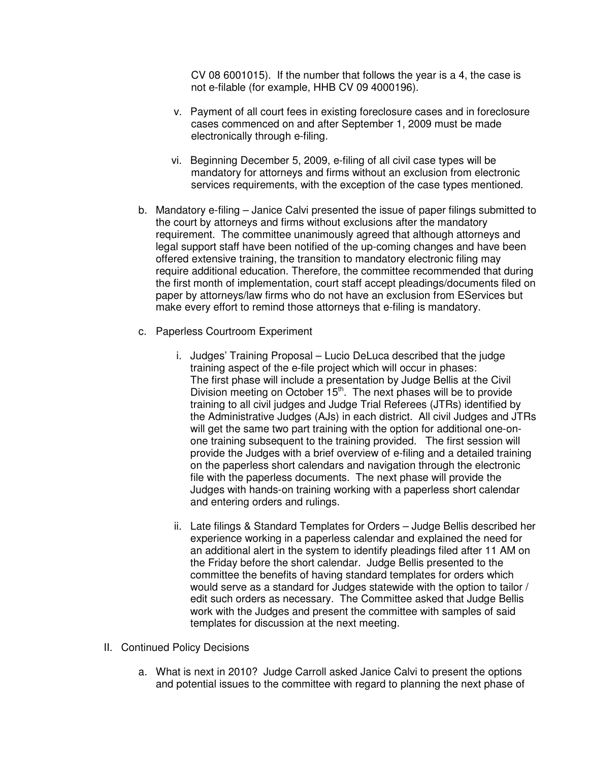CV 08 6001015). If the number that follows the year is a 4, the case is not e-filable (for example, HHB CV 09 4000196).

- v. Payment of all court fees in existing foreclosure cases and in foreclosure cases commenced on and after September 1, 2009 must be made electronically through e-filing.
- vi. Beginning December 5, 2009, e-filing of all civil case types will be mandatory for attorneys and firms without an exclusion from electronic services requirements, with the exception of the case types mentioned.
- b. Mandatory e-filing Janice Calvi presented the issue of paper filings submitted to the court by attorneys and firms without exclusions after the mandatory requirement. The committee unanimously agreed that although attorneys and legal support staff have been notified of the up-coming changes and have been offered extensive training, the transition to mandatory electronic filing may require additional education. Therefore, the committee recommended that during the first month of implementation, court staff accept pleadings/documents filed on paper by attorneys/law firms who do not have an exclusion from EServices but make every effort to remind those attorneys that e-filing is mandatory.
- c. Paperless Courtroom Experiment
	- i. Judges' Training Proposal Lucio DeLuca described that the judge training aspect of the e-file project which will occur in phases: The first phase will include a presentation by Judge Bellis at the Civil Division meeting on October 15<sup>th</sup>. The next phases will be to provide training to all civil judges and Judge Trial Referees (JTRs) identified by the Administrative Judges (AJs) in each district. All civil Judges and JTRs will get the same two part training with the option for additional one-onone training subsequent to the training provided. The first session will provide the Judges with a brief overview of e-filing and a detailed training on the paperless short calendars and navigation through the electronic file with the paperless documents. The next phase will provide the Judges with hands-on training working with a paperless short calendar and entering orders and rulings.
	- ii. Late filings & Standard Templates for Orders Judge Bellis described her experience working in a paperless calendar and explained the need for an additional alert in the system to identify pleadings filed after 11 AM on the Friday before the short calendar. Judge Bellis presented to the committee the benefits of having standard templates for orders which would serve as a standard for Judges statewide with the option to tailor / edit such orders as necessary. The Committee asked that Judge Bellis work with the Judges and present the committee with samples of said templates for discussion at the next meeting.
- II. Continued Policy Decisions
	- a. What is next in 2010? Judge Carroll asked Janice Calvi to present the options and potential issues to the committee with regard to planning the next phase of